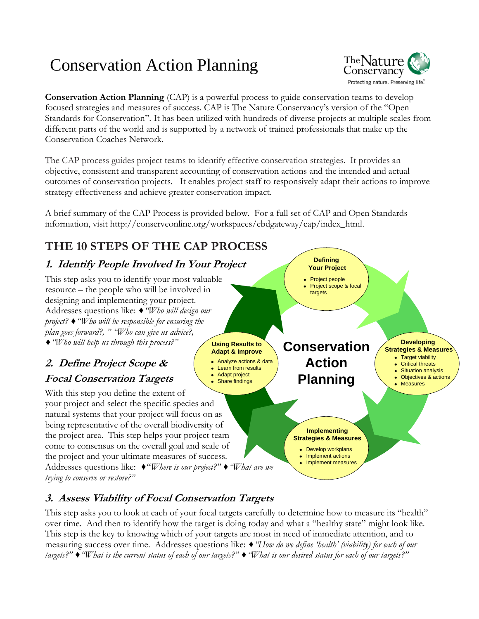# Conservation Action Planning



**Conservation Action Planning** (CAP) is a powerful process to guide conservation teams to develop focused strategies and measures of success. CAP is The Nature Conservancy's version of the "Open Standards for Conservation". It has been utilized with hundreds of diverse projects at multiple scales from different parts of the world and is supported by a network of trained professionals that make up the Conservation Coaches Network.

The CAP process guides project teams to identify effective conservation strategies. It provides an objective, consistent and transparent accounting of conservation actions and the intended and actual outcomes of conservation projects. It enables project staff to responsively adapt their actions to improve strategy effectiveness and achieve greater conservation impact.

**Adapt & Improve**

Analyze actions & data Learn from results Adapt project Share findings

A brief summary of the CAP Process is provided below. For a full set of CAP and Open Standards information, visit http://conserveonline.org/workspaces/cbdgateway/cap/index\_html.

## **THE 10 STEPS OF THE CAP PROCESS**

### **1. Identify People Involved In Your Project**

**Using Results to** This step asks you to identify your most valuable resource – the people who will be involved in designing and implementing your project. Addresses questions like: *♦"Who will design our project? ♦"Who will be responsible for ensuring the plan goes forward?, " "Who can give us advice?, ♦"Who will help us through this process?"*

#### **2. Define Project Scope & Focal Conservation Targets**

With this step you define the extent of your project and select the specific species and natural systems that your project will focus on as being representative of the overall biodiversity of the project area. This step helps your project team come to consensus on the overall goal and scale of the project and your ultimate measures of success. Addresses questions like: *♦*"*Where is our project?" ♦"What are we trying to conserve or restore?"*



**Implementing Strategies & Measures**

> Develop workplans Implement actions Implement measures

**Defining Your Project**

Project people Project scope & focal

targets

**Developing Strategies & Measures** • Target viability

- **•** Critical threats
- Situation analysis Objectives & actions
	- **Measures**

## **3. Assess Viability of Focal Conservation Targets** This step asks you to look at each of your focal targets carefully to determine how to measure its "health"

over time. And then to identify how the target is doing today and what a "healthy state" might look like. This step is the key to knowing which of your targets are most in need of immediate attention, and to measuring success over time. Addresses questions like: *♦"How do we define "health" (viability) for each of our targets?" ♦"What is the current status of each of our targets?" ♦"What is our desired status for each of our targets?"*